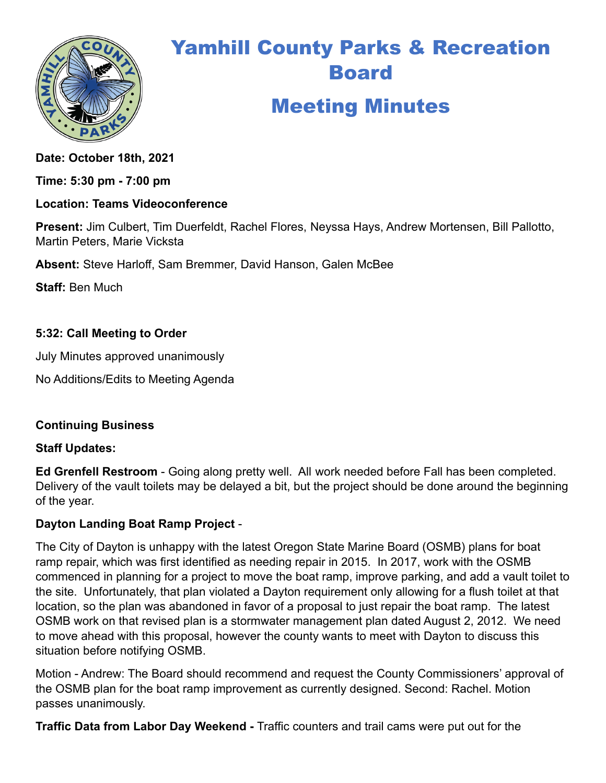

# Yamhill County Parks & Recreation Board Meeting Minutes

## **Date: October 18th, 2021**

**Time: 5:30 pm - 7:00 pm**

## **Location: Teams Videoconference**

**Present:** Jim Culbert, Tim Duerfeldt, Rachel Flores, Neyssa Hays, Andrew Mortensen, Bill Pallotto, Martin Peters, Marie Vicksta

**Absent:** Steve Harloff, Sam Bremmer, David Hanson, Galen McBee

**Staff:** Ben Much

## **5:32: Call Meeting to Order**

July Minutes approved unanimously

No Additions/Edits to Meeting Agenda

### **Continuing Business**

### **Staff Updates:**

**Ed Grenfell Restroom** - Going along pretty well. All work needed before Fall has been completed. Delivery of the vault toilets may be delayed a bit, but the project should be done around the beginning of the year.

### **Dayton Landing Boat Ramp Project** -

The City of Dayton is unhappy with the latest Oregon State Marine Board (OSMB) plans for boat ramp repair, which was first identified as needing repair in 2015. In 2017, work with the OSMB commenced in planning for a project to move the boat ramp, improve parking, and add a vault toilet to the site. Unfortunately, that plan violated a Dayton requirement only allowing for a flush toilet at that location, so the plan was abandoned in favor of a proposal to just repair the boat ramp. The latest OSMB work on that revised plan is a stormwater management plan dated August 2, 2012. We need to move ahead with this proposal, however the county wants to meet with Dayton to discuss this situation before notifying OSMB.

Motion - Andrew: The Board should recommend and request the County Commissioners' approval of the OSMB plan for the boat ramp improvement as currently designed. Second: Rachel. Motion passes unanimously.

**Traffic Data from Labor Day Weekend -** Traffic counters and trail cams were put out for the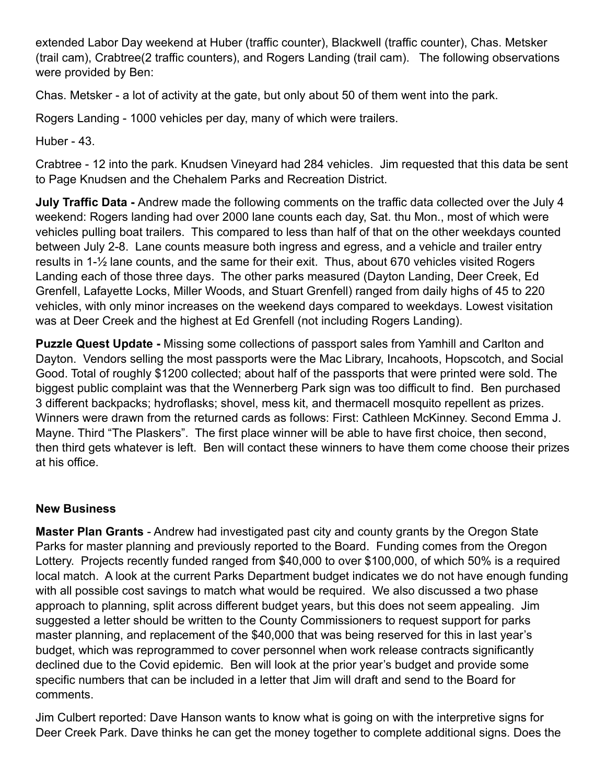extended Labor Day weekend at Huber (traffic counter), Blackwell (traffic counter), Chas. Metsker (trail cam), Crabtree(2 traffic counters), and Rogers Landing (trail cam). The following observations were provided by Ben:

Chas. Metsker - a lot of activity at the gate, but only about 50 of them went into the park.

Rogers Landing - 1000 vehicles per day, many of which were trailers.

Huber - 43.

Crabtree - 12 into the park. Knudsen Vineyard had 284 vehicles. Jim requested that this data be sent to Page Knudsen and the Chehalem Parks and Recreation District.

**July Traffic Data -** Andrew made the following comments on the traffic data collected over the July 4 weekend: Rogers landing had over 2000 lane counts each day, Sat. thu Mon., most of which were vehicles pulling boat trailers. This compared to less than half of that on the other weekdays counted between July 2-8. Lane counts measure both ingress and egress, and a vehicle and trailer entry results in 1-½ lane counts, and the same for their exit. Thus, about 670 vehicles visited Rogers Landing each of those three days. The other parks measured (Dayton Landing, Deer Creek, Ed Grenfell, Lafayette Locks, Miller Woods, and Stuart Grenfell) ranged from daily highs of 45 to 220 vehicles, with only minor increases on the weekend days compared to weekdays. Lowest visitation was at Deer Creek and the highest at Ed Grenfell (not including Rogers Landing).

**Puzzle Quest Update -** Missing some collections of passport sales from Yamhill and Carlton and Dayton. Vendors selling the most passports were the Mac Library, Incahoots, Hopscotch, and Social Good. Total of roughly \$1200 collected; about half of the passports that were printed were sold. The biggest public complaint was that the Wennerberg Park sign was too difficult to find. Ben purchased 3 different backpacks; hydroflasks; shovel, mess kit, and thermacell mosquito repellent as prizes. Winners were drawn from the returned cards as follows: First: Cathleen McKinney. Second Emma J. Mayne. Third "The Plaskers". The first place winner will be able to have first choice, then second, then third gets whatever is left. Ben will contact these winners to have them come choose their prizes at his office.

### **New Business**

**Master Plan Grants** - Andrew had investigated past city and county grants by the Oregon State Parks for master planning and previously reported to the Board. Funding comes from the Oregon Lottery. Projects recently funded ranged from \$40,000 to over \$100,000, of which 50% is a required local match. A look at the current Parks Department budget indicates we do not have enough funding with all possible cost savings to match what would be required. We also discussed a two phase approach to planning, split across different budget years, but this does not seem appealing. Jim suggested a letter should be written to the County Commissioners to request support for parks master planning, and replacement of the \$40,000 that was being reserved for this in last year's budget, which was reprogrammed to cover personnel when work release contracts significantly declined due to the Covid epidemic. Ben will look at the prior year's budget and provide some specific numbers that can be included in a letter that Jim will draft and send to the Board for comments.

Jim Culbert reported: Dave Hanson wants to know what is going on with the interpretive signs for Deer Creek Park. Dave thinks he can get the money together to complete additional signs. Does the